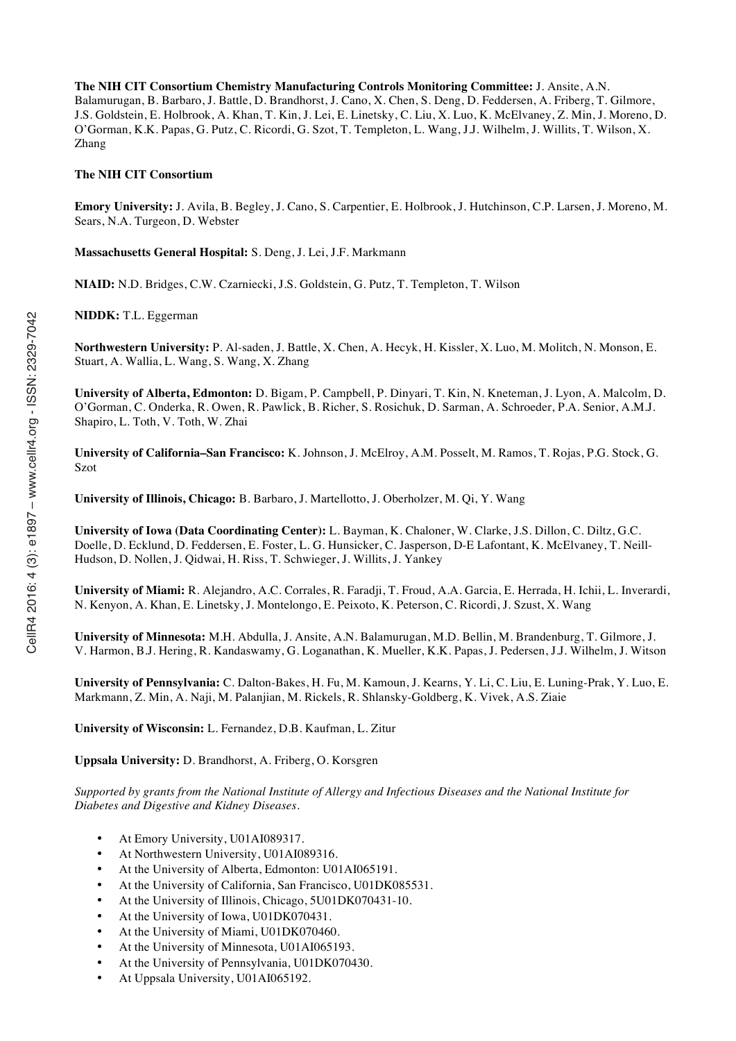**The NIH CIT Consortium Chemistry Manufacturing Controls Monitoring Committee:** J. Ansite, A.N. Balamurugan, B. Barbaro, J. Battle, D. Brandhorst, J. Cano, X. Chen, S. Deng, D. Feddersen, A. Friberg, T. Gilmore, J.S. Goldstein, E. Holbrook, A. Khan, T. Kin, J. Lei, E. Linetsky, C. Liu, X. Luo, K. McElvaney, Z. Min, J. Moreno, D. O'Gorman, K.K. Papas, G. Putz, C. Ricordi, G. Szot, T. Templeton, L. Wang, J.J. Wilhelm, J. Willits, T. Wilson, X. Zhang

## **The NIH CIT Consortium**

**Emory University:** J. Avila, B. Begley, J. Cano, S. Carpentier, E. Holbrook, J. Hutchinson, C.P. Larsen, J. Moreno, M. Sears, N.A. Turgeon, D. Webster

**Massachusetts General Hospital:** S. Deng, J. Lei, J.F. Markmann

**NIAID:** N.D. Bridges, C.W. Czarniecki, J.S. Goldstein, G. Putz, T. Templeton, T. Wilson

**NIDDK:** T.L. Eggerman

**Northwestern University:** P. Al-saden, J. Battle, X. Chen, A. Hecyk, H. Kissler, X. Luo, M. Molitch, N. Monson, E. Stuart, A. Wallia, L. Wang, S. Wang, X. Zhang

**University of Alberta, Edmonton:** D. Bigam, P. Campbell, P. Dinyari, T. Kin, N. Kneteman, J. Lyon, A. Malcolm, D. O'Gorman, C. Onderka, R. Owen, R. Pawlick, B. Richer, S. Rosichuk, D. Sarman, A. Schroeder, P.A. Senior, A.M.J. Shapiro, L. Toth, V. Toth, W. Zhai

**University of California–San Francisco:** K. Johnson, J. McElroy, A.M. Posselt, M. Ramos, T. Rojas, P.G. Stock, G. Szot

**University of Illinois, Chicago:** B. Barbaro, J. Martellotto, J. Oberholzer, M. Qi, Y. Wang

**University of Iowa (Data Coordinating Center):** L. Bayman, K. Chaloner, W. Clarke, J.S. Dillon, C. Diltz, G.C. Doelle, D. Ecklund, D. Feddersen, E. Foster, L. G. Hunsicker, C. Jasperson, D-E Lafontant, K. McElvaney, T. Neill-Hudson, D. Nollen, J. Qidwai, H. Riss, T. Schwieger, J. Willits, J. Yankey

**University of Miami:** R. Alejandro, A.C. Corrales, R. Faradji, T. Froud, A.A. Garcia, E. Herrada, H. Ichii, L. Inverardi, N. Kenyon, A. Khan, E. Linetsky, J. Montelongo, E. Peixoto, K. Peterson, C. Ricordi, J. Szust, X. Wang

**University of Minnesota:** M.H. Abdulla, J. Ansite, A.N. Balamurugan, M.D. Bellin, M. Brandenburg, T. Gilmore, J. V. Harmon, B.J. Hering, R. Kandaswamy, G. Loganathan, K. Mueller, K.K. Papas, J. Pedersen, J.J. Wilhelm, J. Witson

**University of Pennsylvania:** C. Dalton-Bakes, H. Fu, M. Kamoun, J. Kearns, Y. Li, C. Liu, E. Luning-Prak, Y. Luo, E. Markmann, Z. Min, A. Naji, M. Palanjian, M. Rickels, R. Shlansky-Goldberg, K. Vivek, A.S. Ziaie

**University of Wisconsin:** L. Fernandez, D.B. Kaufman, L. Zitur

**Uppsala University:** D. Brandhorst, A. Friberg, O. Korsgren

*Supported by grants from the National Institute of Allergy and Infectious Diseases and the National Institute for Diabetes and Digestive and Kidney Diseases.*

- At Emory University, U01AI089317.
- At Northwestern University, U01AI089316.
- At the University of Alberta, Edmonton: U01AI065191.
- At the University of California, San Francisco, U01DK085531.
- At the University of Illinois, Chicago, 5U01DK070431-10.
- At the University of Iowa, U01DK070431.
- At the University of Miami, U01DK070460.
- At the University of Minnesota, U01AI065193.
- At the University of Pennsylvania, U01DK070430.
- At Uppsala University, U01AI065192.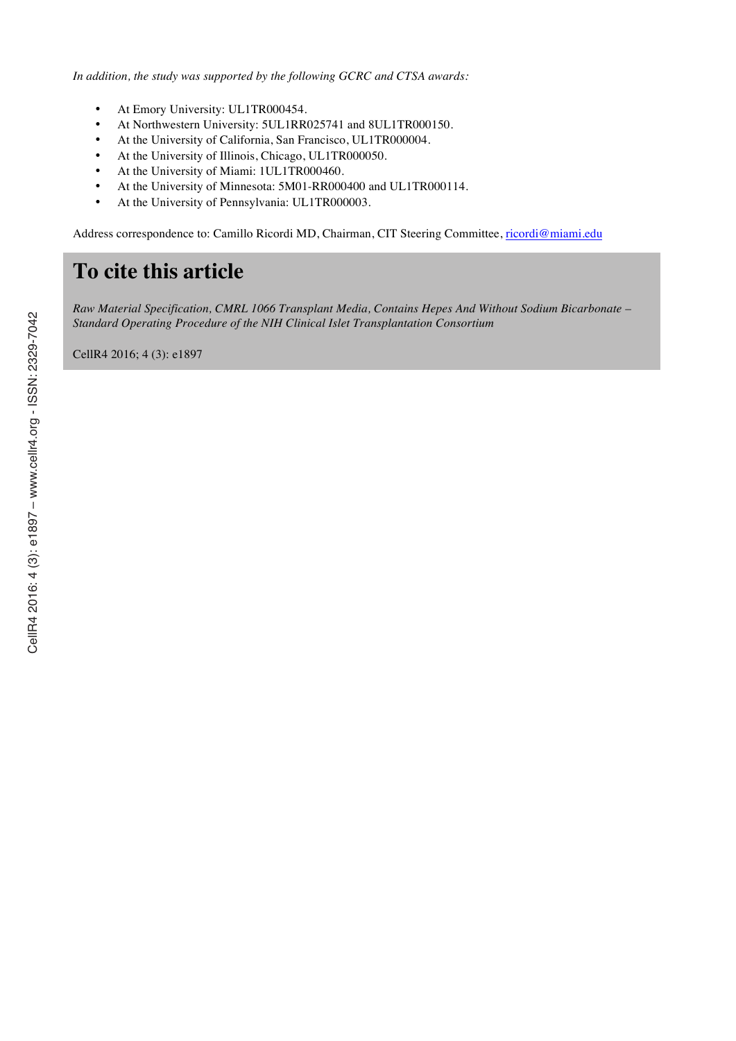*In addition, the study was supported by the following GCRC and CTSA awards:*

- At Emory University: UL1TR000454.
- At Northwestern University: 5UL1RR025741 and 8UL1TR000150.
- At the University of California, San Francisco, UL1TR000004.
- At the University of Illinois, Chicago, UL1TR000050.
- At the University of Miami: 1UL1TR000460.
- At the University of Minnesota: 5M01-RR000400 and UL1TR000114.
- At the University of Pennsylvania: UL1TR000003.

Address correspondence to: Camillo Ricordi MD, Chairman, CIT Steering Committee, ricordi@miami.edu

# **To cite this article**

*Raw Material Specification, CMRL 1066 Transplant Media, Contains Hepes And Without Sodium Bicarbonate – Standard Operating Procedure of the NIH Clinical Islet Transplantation Consortium*

CellR4 2016; 4 (3): e1897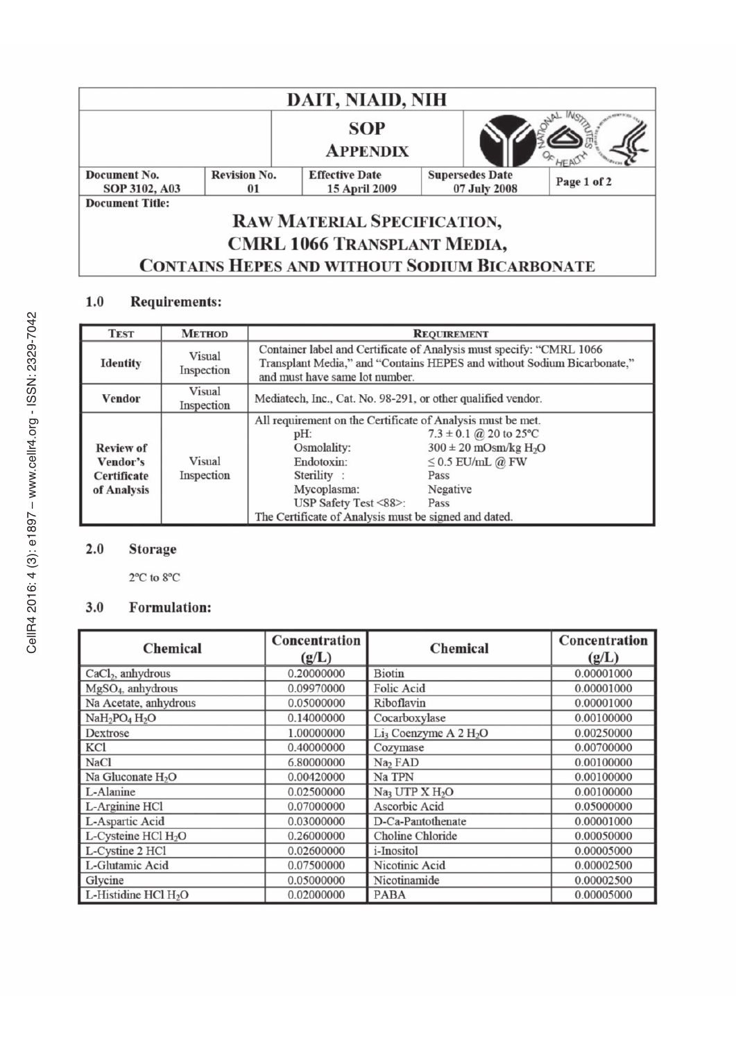| DAIT, NIAID, NIH                                     |                           |                                               |                                        |             |
|------------------------------------------------------|---------------------------|-----------------------------------------------|----------------------------------------|-------------|
|                                                      |                           | <b>SOP</b><br><b>APPENDIX</b>                 |                                        |             |
| <b>Document No.</b><br>SOP 3102, A03                 | <b>Revision No.</b><br>01 | <b>Effective Date</b><br><b>15 April 2009</b> | <b>Supersedes Date</b><br>07 July 2008 | Page 1 of 2 |
| <b>Document Title:</b>                               |                           |                                               |                                        |             |
| RAW MATERIAL SPECIFICATION,                          |                           |                                               |                                        |             |
| <b>CMRL 1066 TRANSPLANT MEDIA,</b>                   |                           |                                               |                                        |             |
| <b>CONTAINS HEPES AND WITHOUT SODIUM BICARBONATE</b> |                           |                                               |                                        |             |

### $1.0$ **Requirements:**

| <b>TEST</b>                                                       | <b>METHOD</b>        | <b>REQUIREMENT</b>                                                                                                                                                                                                |                                                                                                                           |  |
|-------------------------------------------------------------------|----------------------|-------------------------------------------------------------------------------------------------------------------------------------------------------------------------------------------------------------------|---------------------------------------------------------------------------------------------------------------------------|--|
| <b>Identity</b>                                                   | Visual<br>Inspection | Container label and Certificate of Analysis must specify: "CMRL 1066<br>Transplant Media," and "Contains HEPES and without Sodium Bicarbonate,"<br>and must have same lot number.                                 |                                                                                                                           |  |
| Vendor                                                            | Visual<br>Inspection | Mediatech, Inc., Cat. No. 98-291, or other qualified vendor.                                                                                                                                                      |                                                                                                                           |  |
| <b>Review of</b><br>Vendor's<br><b>Certificate</b><br>of Analysis | Visual<br>Inspection | All requirement on the Certificate of Analysis must be met.<br>$pH$ :<br>Osmolality:<br>Endotoxin:<br>Sterility:<br>Mycoplasma:<br>USP Safety Test <88>:<br>The Certificate of Analysis must be signed and dated. | $7.3 \pm 0.1$ @ 20 to 25 °C<br>$300 \pm 20$ mOsm/kg H <sub>2</sub> O<br>$\leq$ 0.5 EU/mL @ FW<br>Pass<br>Negative<br>Pass |  |

### Storage  $2.0$

 $2^{\circ}$ C to  $8^{\circ}$ C

#### $3.0$ Formulation:

| <b>Chemical</b>               | Concentration<br>(g/L) | <b>Chemical</b>                        | Concentration<br>(g/L) |
|-------------------------------|------------------------|----------------------------------------|------------------------|
| CaCl <sub>2</sub> , anhydrous | 0.20000000             | <b>Biotin</b>                          | 0.00001000             |
| MgSO <sub>4</sub> , anhydrous | 0.09970000             | Folic Acid                             | 0.00001000             |
| Na Acetate, anhydrous         | 0.05000000             | Riboflavin                             | 0.00001000             |
| $NaH2PO4H2O$                  | 0.14000000             | Cocarboxylase                          | 0.00100000             |
| Dextrose                      | 1.00000000             | $Li3 Coenzyme A 2 H2O$                 | 0.00250000             |
| KC1                           | 0.40000000             | Cozymase                               | 0.00700000             |
| <b>NaCl</b>                   | 6.80000000             | Na <sub>2</sub> FAD                    | 0.00100000             |
| Na Gluconate H <sub>2</sub> O | 0.00420000             | Na TPN                                 | 0.00100000             |
| L-Alanine                     | 0.02500000             | Na <sub>3</sub> UTP X H <sub>2</sub> O | 0.00100000             |
| L-Arginine HCl                | 0.07000000             | Ascorbic Acid                          | 0.05000000             |
| L-Aspartic Acid               | 0.03000000             | D-Ca-Pantothenate                      | 0.00001000             |
| L-Cysteine HCl $H_2O$         | 0.26000000             | Choline Chloride                       | 0.00050000             |
| L-Cystine 2 HCl               | 0.02600000             | i-Inositol                             | 0.00005000             |
| L-Glutamic Acid               | 0.07500000             | Nicotinic Acid                         | 0.00002500             |
| Glycine                       | 0.05000000             | Nicotinamide                           | 0.00002500             |
| L-Histidine HCl $H_2O$        | 0.02000000             | <b>PABA</b>                            | 0.00005000             |